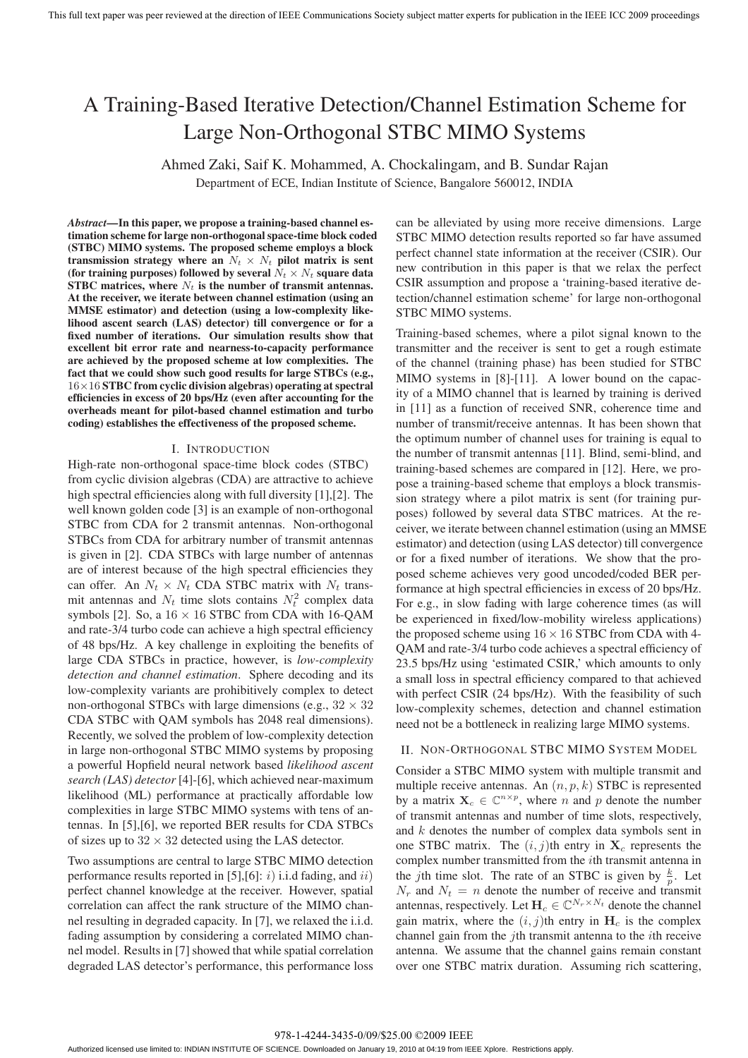# A Training-Based Iterative Detection/Channel Estimation Scheme for Large Non-Orthogonal STBC MIMO Systems

## Ahmed Zaki, Saif K. Mohammed, A. Chockalingam, and B. Sundar Rajan

Department of ECE, Indian Institute of Science, Bangalore 560012, INDIA

*Abstract***—In this paper, we propose a training-based channel estimation scheme for large non-orthogonal space-time block coded (STBC) MIMO systems. The proposed scheme employs a block transmission strategy where an**  $N_t \times N_t$  **pilot matrix is sent** (for training purposes) followed by several  $N_t \times N_t$  square data **STBC** matrices, where  $N_t$  is the number of transmit antennas. **At the receiver, we iterate between channel estimation (using an MMSE estimator) and detection (using a low-complexity likelihood ascent search (LAS) detector) till convergence or for a fixed number of iterations. Our simulation results show that excellent bit error rate and nearness-to-capacity performance are achieved by the proposed scheme at low complexities. The fact that we could show such good results for large STBCs (e.g.,** 16×16 **STBC from cyclic division algebras) operating at spectral efficiencies in excess of 20 bps/Hz (even after accounting for the overheads meant for pilot-based channel estimation and turbo coding) establishes the effectiveness of the proposed scheme.**

#### I. INTRODUCTION

High-rate non-orthogonal space-time block codes (STBC) from cyclic division algebras (CDA) are attractive to achieve high spectral efficiencies along with full diversity [1],[2]. The well known golden code [3] is an example of non-orthogonal STBC from CDA for 2 transmit antennas. Non-orthogonal STBCs from CDA for arbitrary number of transmit antennas is given in [2]. CDA STBCs with large number of antennas are of interest because of the high spectral efficiencies they can offer. An  $N_t \times N_t$  CDA STBC matrix with  $N_t$  transmit antennas and  $N_t$  time slots contains  $N_t^2$  complex data symbols [2]. So, a  $16 \times 16$  STBC from CDA with 16-QAM and rate-3/4 turbo code can achieve a high spectral efficiency of 48 bps/Hz. A key challenge in exploiting the benefits of large CDA STBCs in practice, however, is *low-complexity detection and channel estimation*. Sphere decoding and its low-complexity variants are prohibitively complex to detect non-orthogonal STBCs with large dimensions (e.g.,  $32 \times 32$ ) CDA STBC with QAM symbols has 2048 real dimensions). Recently, we solved the problem of low-complexity detection in large non-orthogonal STBC MIMO systems by proposing a powerful Hopfield neural network based *likelihood ascent search (LAS) detector* [4]-[6], which achieved near-maximum likelihood (ML) performance at practically affordable low complexities in large STBC MIMO systems with tens of antennas. In [5],[6], we reported BER results for CDA STBCs of sizes up to  $32 \times 32$  detected using the LAS detector.

Two assumptions are central to large STBC MIMO detection performance results reported in [5], [6]:  $i)$  i.i.d fading, and  $ii)$ perfect channel knowledge at the receiver. However, spatial correlation can affect the rank structure of the MIMO channel resulting in degraded capacity. In [7], we relaxed the i.i.d. fading assumption by considering a correlated MIMO channel model. Results in [7] showed that while spatial correlation degraded LAS detector's performance, this performance loss can be alleviated by using more receive dimensions. Large STBC MIMO detection results reported so far have assumed perfect channel state information at the receiver (CSIR). Our new contribution in this paper is that we relax the perfect CSIR assumption and propose a 'training-based iterative detection/channel estimation scheme' for large non-orthogonal STBC MIMO systems.

Training-based schemes, where a pilot signal known to the transmitter and the receiver is sent to get a rough estimate of the channel (training phase) has been studied for STBC MIMO systems in [8]-[11]. A lower bound on the capacity of a MIMO channel that is learned by training is derived in [11] as a function of received SNR, coherence time and number of transmit/receive antennas. It has been shown that the optimum number of channel uses for training is equal to the number of transmit antennas [11]. Blind, semi-blind, and training-based schemes are compared in [12]. Here, we propose a training-based scheme that employs a block transmission strategy where a pilot matrix is sent (for training purposes) followed by several data STBC matrices. At the receiver, we iterate between channel estimation (using an MMSE estimator) and detection (using LAS detector) till convergence or for a fixed number of iterations. We show that the proposed scheme achieves very good uncoded/coded BER performance at high spectral efficiencies in excess of 20 bps/Hz. For e.g., in slow fading with large coherence times (as will be experienced in fixed/low-mobility wireless applications) the proposed scheme using  $16 \times 16$  STBC from CDA with 4-QAM and rate-3/4 turbo code achieves a spectral efficiency of 23.5 bps/Hz using 'estimated CSIR,' which amounts to only a small loss in spectral efficiency compared to that achieved with perfect CSIR (24 bps/Hz). With the feasibility of such low-complexity schemes, detection and channel estimation need not be a bottleneck in realizing large MIMO systems.

## II. NON-ORTHOGONAL STBC MIMO SYSTEM MODEL

Consider a STBC MIMO system with multiple transmit and multiple receive antennas. An  $(n, p, k)$  STBC is represented by a matrix  $\mathbf{X}_c \in \mathbb{C}^{n \times p}$ , where *n* and *p* denote the number of transmit antennas and number of time slots, respectively, and  $k$  denotes the number of complex data symbols sent in one STBC matrix. The  $(i, j)$ th entry in  $X_c$  represents the complex number transmitted from the ith transmit antenna in the j<sup>th</sup> time slot. The rate of an STBC is given by  $\frac{k}{p}$ . Let  $N_r$  and  $N_t = n$  denote the number of receive and transmit antennas, respectively. Let  $\mathbf{H}_c \in \mathbb{C}^{N_r \times N_t}$  denote the channel gain matrix, where the  $(i, j)$ th entry in  $H_c$  is the complex channel gain from the jth transmit antenna to the ith receive antenna. We assume that the channel gains remain constant over one STBC matrix duration. Assuming rich scattering,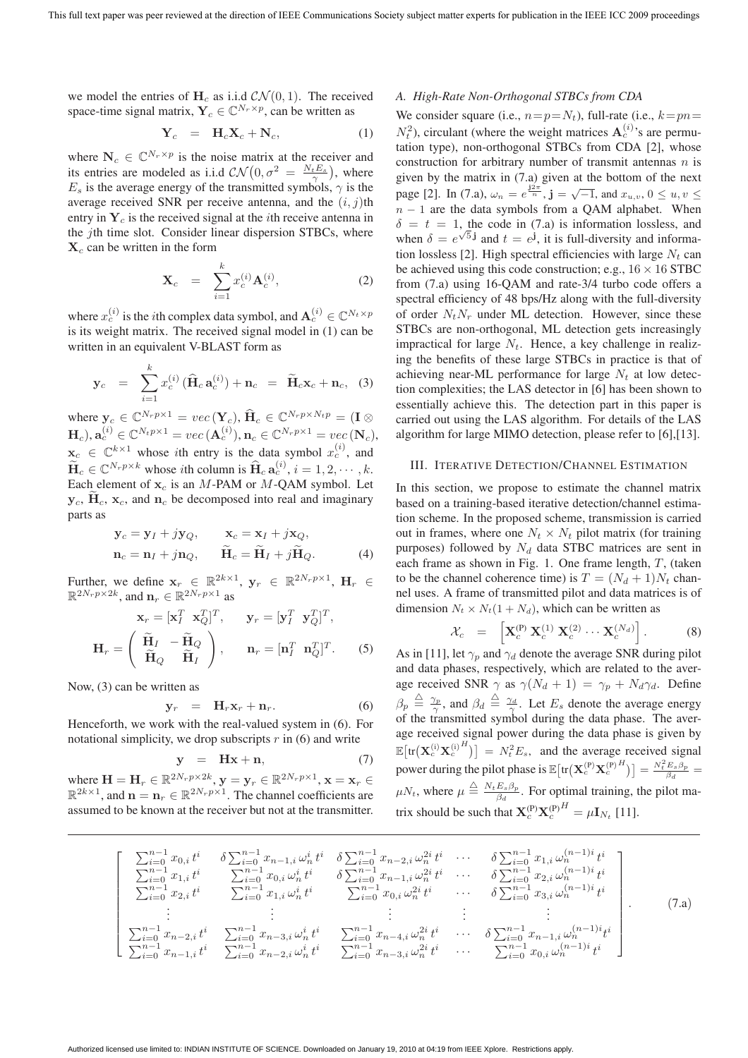we model the entries of  $H_c$  as i.i.d  $CN(0, 1)$ . The received space-time signal matrix,  $Y_c \in \mathbb{C}^{N_r \times p}$ , can be written as

$$
\mathbf{Y}_c = \mathbf{H}_c \mathbf{X}_c + \mathbf{N}_c, \tag{1}
$$

where  $N_c \in \mathbb{C}^{N_r \times p}$  is the noise matrix at the receiver and its entries are modeled as i.i.d  $CN(0, \sigma^2 = \frac{N_t E_s}{\gamma})$ , where  $E_s$  is the average energy of the transmitted symbols,  $\gamma$  is the average received SNR per receive antenna, and the  $(i, j)$ th entry in  $Y_c$  is the received signal at the *i*th receive antenna in the jth time slot. Consider linear dispersion STBCs, where  $\mathbf{X}_c$  can be written in the form

$$
\mathbf{X}_c = \sum_{i=1}^k x_c^{(i)} \mathbf{A}_c^{(i)}, \tag{2}
$$

where  $x_c^{(i)}$  is the *i*th complex data symbol, and  $\mathbf{A}_c^{(i)} \in \mathbb{C}^{N_t \times p}$ is its weight matrix. The received signal model in (1) can be written in an equivalent V-BLAST form as

$$
\mathbf{y}_c = \sum_{i=1}^k x_c^{(i)} \left( \widehat{\mathbf{H}}_c \, \mathbf{a}_c^{(i)} \right) + \mathbf{n}_c = \widetilde{\mathbf{H}}_c \mathbf{x}_c + \mathbf{n}_c, \tag{3}
$$

where  $\mathbf{y}_c \in \mathbb{C}^{N_r p \times 1} = vec(\mathbf{Y}_c), \hat{\mathbf{H}}_c \in \mathbb{C}^{N_r p \times N_t p} = (\mathbf{I} \otimes \mathbf{I})$  $\mathbf{H}_c$ ),  $\mathbf{a}_c^{(i)} \in \mathbb{C}^{N_t p \times 1} = vec(\mathbf{A}_c^{(i)}), \mathbf{n}_c \in \mathbb{C}^{N_r p \times 1} = vec(\mathbf{N}_c),$  $\mathbf{x}_c \in \mathbb{C}^{k \times 1}$  whose *i*th entry is the data symbol  $x_c^{(i)}$ , and  $\widetilde{H}_c \in \mathbb{C}^{N_r p \times k}$  whose ith column is  $\widehat{H}_c \mathbf{a}_c^{(i)}$ ,  $i = 1, 2, \cdots, k$ . Each element of  $\mathbf{x}_c$  is an M-PAM or M-QAM symbol. Let  $y_c$ ,  $H_c$ ,  $x_c$ , and  $n_c$  be decomposed into real and imaginary parts as

$$
\mathbf{y}_c = \mathbf{y}_I + j\mathbf{y}_Q, \qquad \mathbf{x}_c = \mathbf{x}_I + j\mathbf{x}_Q, \n\mathbf{n}_c = \mathbf{n}_I + j\mathbf{n}_Q, \qquad \widetilde{\mathbf{H}}_c = \widetilde{\mathbf{H}}_I + j\widetilde{\mathbf{H}}_Q.
$$
\n(4)

Further, we define  $\mathbf{x}_r \in \mathbb{R}^{2k \times 1}$ ,  $\mathbf{y}_r \in \mathbb{R}^{2N_r p \times 1}$ ,  $\mathbf{H}_r \in$  $\mathbb{R}^{2N_r p \times 2k}$ , and  $\mathbf{n}_r \in \mathbb{R}^{2N_r p \times 1}$  as

$$
\mathbf{x}_r = [\mathbf{x}_I^T \ \mathbf{x}_Q^T]^T, \qquad \mathbf{y}_r = [\mathbf{y}_I^T \ \mathbf{y}_Q^T]^T,
$$

$$
\mathbf{H}_r = \begin{pmatrix} \widetilde{\mathbf{H}}_I & -\widetilde{\mathbf{H}}_Q \\ \widetilde{\mathbf{H}}_Q & \widetilde{\mathbf{H}}_I \end{pmatrix}, \qquad \mathbf{n}_r = [\mathbf{n}_I^T \ \mathbf{n}_Q^T]^T. \tag{5}
$$

Now, (3) can be written as

$$
\mathbf{y}_r = \mathbf{H}_r \mathbf{x}_r + \mathbf{n}_r. \tag{6}
$$

Henceforth, we work with the real-valued system in (6). For notational simplicity, we drop subscripts  $r$  in (6) and write

$$
y = Hx + n, \tag{7}
$$

where  $\mathbf{H} = \mathbf{H}_r \in \mathbb{R}^{2N_r p \times 2k}$ ,  $\mathbf{y} = \mathbf{y}_r \in \mathbb{R}^{2N_r p \times 1}$ ,  $\mathbf{x} = \mathbf{x}_r \in \mathbb{R}^{2N_r p \times 1}$  $\mathbb{R}^{2k \times 1}$ , and  $\mathbf{n} = \mathbf{n}_r \in \mathbb{R}^{2N_r p \times 1}$ . The channel coefficients are assumed to be known at the receiver but not at the transmitter.

## *A. High-Rate Non-Orthogonal STBCs from CDA*

We consider square (i.e.,  $n=p=N_t$ ), full-rate (i.e.,  $k=pn=$  $N_t^2$ ), circulant (where the weight matrices  $\mathbf{A}_c^{(i)}$ 's are permutation type), non-orthogonal STBCs from CDA [2], whose construction for arbitrary number of transmit antennas  $n$  is given by the matrix in (7.a) given at the bottom of the next page [2]. In (7.a),  $\omega_n = e^{\frac{j2\pi}{n}}$ ,  $\mathbf{j} = \sqrt{-1}$ , and  $x_{u,v}$ ,  $0 \le u, v \le \frac{1}{2}$  $n - 1$  are the data symbols from a QAM alphabet. When  $\delta = t = 1$ , the code in (7.a) is information lossless, and when  $\delta = e^{\sqrt{5} \mathbf{j}}$  and  $t = e^{\mathbf{j}}$ , it is full-diversity and information lossless [2]. High spectral efficiencies with large  $N_t$  can be achieved using this code construction; e.g.,  $16 \times 16$  STBC from (7.a) using 16-QAM and rate-3/4 turbo code offers a spectral efficiency of 48 bps/Hz along with the full-diversity of order  $N_tN_r$  under ML detection. However, since these STBCs are non-orthogonal, ML detection gets increasingly impractical for large  $N_t$ . Hence, a key challenge in realizing the benefits of these large STBCs in practice is that of achieving near-ML performance for large  $N_t$  at low detection complexities; the LAS detector in [6] has been shown to essentially achieve this. The detection part in this paper is carried out using the LAS algorithm. For details of the LAS algorithm for large MIMO detection, please refer to [6],[13].

### III. ITERATIVE DETECTION/CHANNEL ESTIMATION

In this section, we propose to estimate the channel matrix based on a training-based iterative detection/channel estimation scheme. In the proposed scheme, transmission is carried out in frames, where one  $N_t \times N_t$  pilot matrix (for training purposes) followed by  $N_d$  data STBC matrices are sent in each frame as shown in Fig. 1. One frame length,  $T$ , (taken to be the channel coherence time) is  $T = (N_d + 1)N_t$  channel uses. A frame of transmitted pilot and data matrices is of dimension  $N_t \times N_t(1 + N_d)$ , which can be written as

$$
\mathcal{X}_c = \left[ \mathbf{X}_c^{(P)} \, \mathbf{X}_c^{(1)} \, \mathbf{X}_c^{(2)} \cdots \mathbf{X}_c^{(N_d)} \right]. \tag{8}
$$

As in [11], let  $\gamma_p$  and  $\gamma_d$  denote the average SNR during pilot and data phases, respectively, which are related to the average received SNR  $\gamma$  as  $\gamma(N_d + 1) = \gamma_p + N_d \gamma_d$ . Define  $\beta_p \triangleq \frac{\gamma_p}{\gamma}$ , and  $\beta_d \triangleq \frac{\gamma_d}{\gamma}$ . Let  $E_s$  denote the average energy of the transmitted symbol during the data phase. The average received signal power during the data phase is given by  $\mathbb{E}[\text{tr}(\mathbf{X}_c^{(i)}\mathbf{X}_c^{(i)H})] = N_t^2 E_s$ , and the average received signal power during the pilot phase is  $\mathbb{E}[\text{tr}(\mathbf{X}_c^{(P)}\mathbf{X}_c^{(P)}^H)] = \frac{N_t^2 E_s \beta_p}{\beta_d} =$  $\mu N_t$ , where  $\mu \triangleq \frac{N_t E_s \beta_p}{\beta_d}$ . For optimal training, the pilot matrix should be such that  $X_c^{(P)} X_c^{(P)}^H = \mu I_{N_t}$  [11].

$$
\begin{bmatrix}\n\sum_{i=0}^{n-1} x_{0,i} t^{i} & \delta \sum_{i=0}^{n-1} x_{n-1,i} \omega_{n}^{i} t^{i} & \delta \sum_{i=0}^{n-1} x_{n-2,i} \omega_{n}^{2i} t^{i} & \cdots & \delta \sum_{i=0}^{n-1} x_{1,i} \omega_{n}^{(n-1)i} t^{i} \\
\sum_{i=0}^{n-1} x_{1,i} t^{i} & \sum_{i=0}^{n-1} x_{0,i} \omega_{n}^{i} t^{i} & \delta \sum_{i=0}^{n-1} x_{n-1,i} \omega_{n}^{2i} t^{i} & \cdots & \delta \sum_{i=0}^{n-1} x_{2,i} \omega_{n}^{(n-1)i} t^{i} \\
\sum_{i=0}^{n-1} x_{2,i} t^{i} & \sum_{i=0}^{n-1} x_{1,i} \omega_{n}^{i} t^{i} & \sum_{i=0}^{n-1} x_{0,i} \omega_{n}^{2i} t^{i} & \cdots & \delta \sum_{i=0}^{n-1} x_{3,i} \omega_{n}^{(n-1)i} t^{i} \\
\vdots & \vdots & \vdots & \vdots \\
\sum_{i=0}^{n-1} x_{n-2,i} t^{i} & \sum_{i=0}^{n-1} x_{n-3,i} \omega_{n}^{i} t^{i} & \sum_{i=0}^{n-1} x_{n-4,i} \omega_{n}^{2i} t^{i} & \cdots & \delta \sum_{i=0}^{n-1} x_{n-1,i} \omega_{n}^{(n-1)i} t^{i} \\
\sum_{i=0}^{n-1} x_{n-1,i} t^{i} & \sum_{i=0}^{n-1} x_{n-2,i} \omega_{n}^{i} t^{i} & \sum_{i=0}^{n-1} x_{n-3,i} \omega_{n}^{2i} t^{i} & \cdots & \sum_{i=0}^{n-1} x_{0,i} \omega_{n}^{(n-1)i} t^{i}\n\end{bmatrix}.
$$
\n(7.3)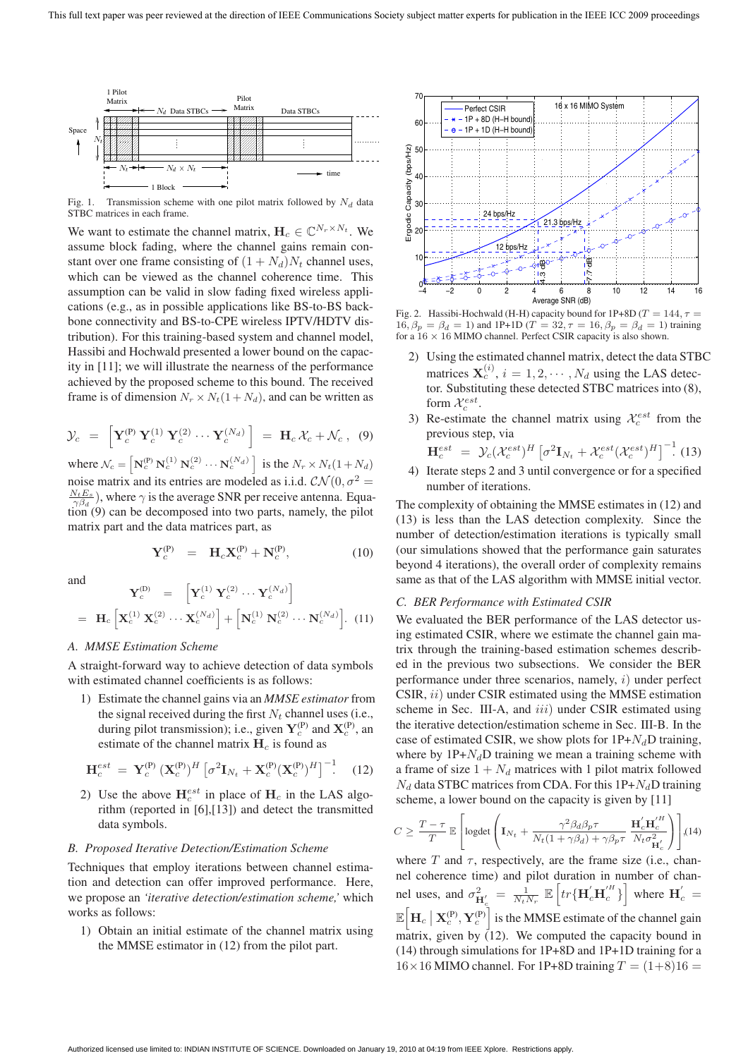

Fig. 1. Transmission scheme with one pilot matrix followed by  $N_d$  data STBC matrices in each frame.

We want to estimate the channel matrix,  $\mathbf{H}_c \in \mathbb{C}^{N_r \times N_t}$ . We assume block fading, where the channel gains remain constant over one frame consisting of  $(1 + N_d)N_t$  channel uses, which can be viewed as the channel coherence time. This assumption can be valid in slow fading fixed wireless applications (e.g., as in possible applications like BS-to-BS backbone connectivity and BS-to-CPE wireless IPTV/HDTV distribution). For this training-based system and channel model, Hassibi and Hochwald presented a lower bound on the capacity in [11]; we will illustrate the nearness of the performance achieved by the proposed scheme to this bound. The received frame is of dimension  $N_r \times N_t(1 + N_d)$ , and can be written as

$$
\mathcal{Y}_c = \left[ \mathbf{Y}_c^{(P)} \, \mathbf{Y}_c^{(1)} \, \mathbf{Y}_c^{(2)} \cdots \mathbf{Y}_c^{(N_d)} \right] = \mathbf{H}_c \, \mathcal{X}_c + \mathcal{N}_c \,, \tag{9}
$$

where  $\mathcal{N}_c = \left[ \mathbf{N}_c^{(P)} \mathbf{N}_c^{(1)} \mathbf{N}_c^{(2)} \cdots \mathbf{N}_c^{(N_d)} \right]$  is the  $N_r \times N_t(1 + N_d)$ noise matrix and its entries are modeled as i.i.d.  $\mathcal{CN}(0, \sigma^2 =$  $\frac{N_t E_s}{\gamma \beta_d}$ ), where  $\gamma$  is the average SNR per receive antenna. Equa- $\lim_{h \to 0} (9)$  can be decomposed into two parts, namely, the pilot matrix part and the data matrices part, as

$$
\mathbf{Y}_c^{(P)} = \mathbf{H}_c \mathbf{X}_c^{(P)} + \mathbf{N}_c^{(P)}, \tag{10}
$$

and

$$
\mathbf{Y}_c^{(D)} = \left[ \mathbf{Y}_c^{(1)} \, \mathbf{Y}_c^{(2)} \cdots \mathbf{Y}_c^{(N_d)} \right]
$$
\n
$$
= \mathbf{H}_c \left[ \mathbf{X}_c^{(1)} \, \mathbf{X}_c^{(2)} \cdots \mathbf{X}_c^{(N_d)} \right] + \left[ \mathbf{N}_c^{(1)} \, \mathbf{N}_c^{(2)} \cdots \mathbf{N}_c^{(N_d)} \right]. \tag{11}
$$

#### *A. MMSE Estimation Scheme*

 $\mathbf{v}$  $\infty$ 

A straight-forward way to achieve detection of data symbols with estimated channel coefficients is as follows:

1) Estimate the channel gains via an *MMSE estimator*from the signal received during the first  $N_t$  channel uses (i.e., during pilot transmission); i.e., given  $Y_c^{(P)}$  and  $X_c^{(P)}$ , an estimate of the channel matrix  $H_c$  is found as

$$
\mathbf{H}_c^{est} = \mathbf{Y}_c^{(P)} \left( \mathbf{X}_c^{(P)} \right)^H \left[ \sigma^2 \mathbf{I}_{N_t} + \mathbf{X}_c^{(P)} (\mathbf{X}_c^{(P)})^H \right]^{-1} \quad (12)
$$

2) Use the above  $H_c^{est}$  in place of  $H_c$  in the LAS algorithm (reported in [6],[13]) and detect the transmitted data symbols.

#### *B. Proposed Iterative Detection/Estimation Scheme*

Techniques that employ iterations between channel estimation and detection can offer improved performance. Here, we propose an *'iterative detection/estimation scheme,'* which works as follows:

1) Obtain an initial estimate of the channel matrix using the MMSE estimator in (12) from the pilot part.



Fig. 2. Hassibi-Hochwald (H-H) capacity bound for 1P+8D ( $T = 144$ ,  $\tau =$  $16, \beta_p = \beta_d = 1$ ) and  $1P+1D$   $(T = 32, \tau = 16, \beta_p = \beta_d = 1)$  training for a  $16 \times 16$  MIMO channel. Perfect CSIR capacity is also shown.

- 2) Using the estimated channel matrix, detect the data STBC matrices  $\mathbf{X}_c^{(i)}$ ,  $i = 1, 2, \cdots, N_d$  using the LAS detector. Substituting these detected STBC matrices into (8), form  $\mathcal{X}_c^{est}$ .
- 3) Re-estimate the channel matrix using  $\mathcal{X}_c^{est}$  from the previous step, via

$$
\mathbf{H}_c^{est} = \mathcal{Y}_c (\mathcal{X}_c^{est})^H \left[ \sigma^2 \mathbf{I}_{N_t} + \mathcal{X}_c^{est} (\mathcal{X}_c^{est})^H \right]^{-1} (13)
$$

4) Iterate steps 2 and 3 until convergence or for a specified number of iterations.

The complexity of obtaining the MMSE estimates in (12) and (13) is less than the LAS detection complexity. Since the number of detection/estimation iterations is typically small (our simulations showed that the performance gain saturates beyond 4 iterations), the overall order of complexity remains same as that of the LAS algorithm with MMSE initial vector.

#### *C. BER Performance with Estimated CSIR*

We evaluated the BER performance of the LAS detector using estimated CSIR, where we estimate the channel gain matrix through the training-based estimation schemes described in the previous two subsections. We consider the BER performance under three scenarios, namely,  $i$ ) under perfect CSIR, ii) under CSIR estimated using the MMSE estimation scheme in Sec. III-A, and *iii*) under CSIR estimated using the iterative detection/estimation scheme in Sec. III-B. In the case of estimated CSIR, we show plots for  $1P+N_dD$  training, where by  $1P+N_dD$  training we mean a training scheme with a frame of size  $1 + N_d$  matrices with 1 pilot matrix followed  $N_d$  data STBC matrices from CDA. For this 1P+ $N_d$ D training scheme, a lower bound on the capacity is given by [11]

$$
C \geq \frac{T-\tau}{T} \mathbb{E}\left[\log \det\left(\mathbf{I}_{N_t} + \frac{\gamma^2 \beta_d \beta_p \tau}{N_t (1 + \gamma \beta_d) + \gamma \beta_p \tau} \frac{\mathbf{H}_c' \mathbf{H}_c'^H}{N_t \sigma_{\mathbf{H}_c'}^2}\right)\right],
$$
(14)

where  $T$  and  $\tau$ , respectively, are the frame size (i.e., channel coherence time) and pilot duration in number of channel uses, and  $\sigma_{\mathbf{H}'_c}^2 = \frac{1}{N_t N_r} \mathbb{E}\left[ tr\{\mathbf{H}'_c{\mathbf{H}'_c}^H\}\right]$  where  $\mathbf{H}'_c$  =  $\mathbb{E}\bigg[\mathbf{H}_c \bigm| \mathbf{X}_c^{(\text{P})}, \mathbf{Y}_c^{(\text{P})}\bigg]$  is the MMSE estimate of the channel gain matrix, given by  $(12)$ . We computed the capacity bound in (14) through simulations for 1P+8D and 1P+1D training for a  $16\times16$  MIMO channel. For 1P+8D training  $T = (1+8)16 =$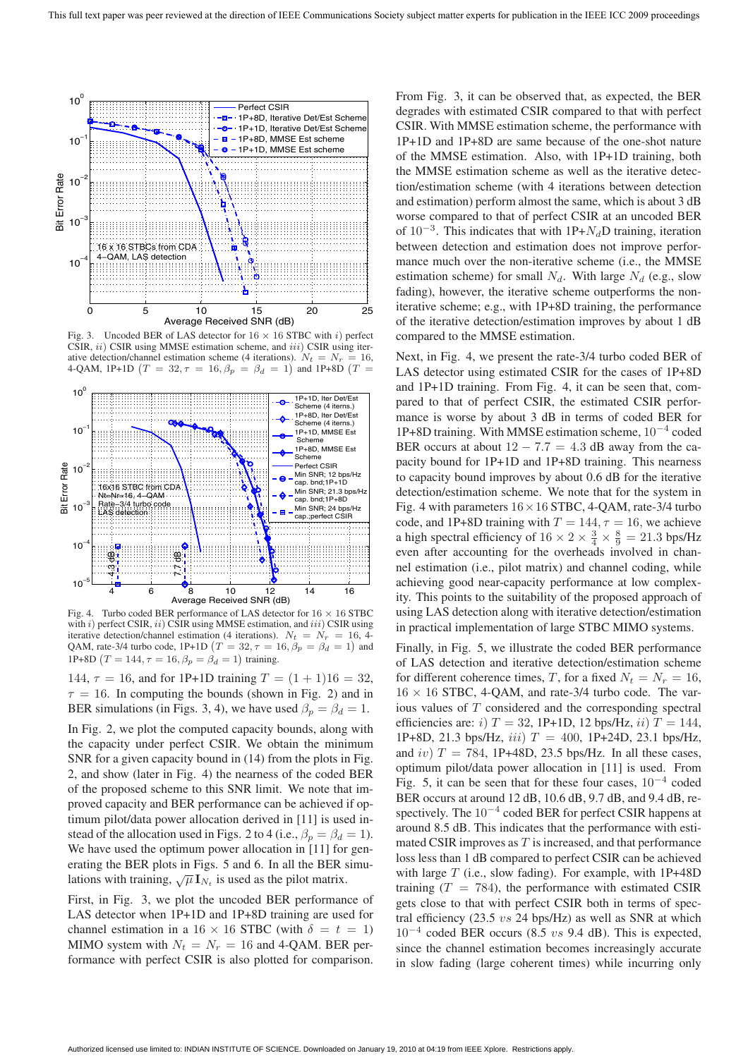

Fig. 3. Uncoded BER of LAS detector for  $16 \times 16$  STBC with i) perfect CSIR, ii) CSIR using MMSE estimation scheme, and iii) CSIR using iterative detection/channel estimation scheme (4 iterations).  $N_t = N_r = 16$ , 4-QAM, 1P+1D  $(T = 32, \tau = 16, \beta_p = \beta_d = 1)$  and 1P+8D  $(T =$ 



Fig. 4. Turbo coded BER performance of LAS detector for  $16 \times 16$  STBC with i) perfect CSIR, ii) CSIR using MMSE estimation, and iii) CSIR using iterative detection/channel estimation (4 iterations).  $N_t = N_r = 16, 4$ -QAM, rate-3/4 turbo code, 1P+1D  $(T = 32, \tau = 16, \beta_p = \beta_d = 1)$  and 1P+8D  $(T = 144, \tau = 16, \beta_p = \beta_d = 1)$  training.

144,  $\tau = 16$ , and for 1P+1D training  $T = (1 + 1)16 = 32$ ,  $\tau = 16$ . In computing the bounds (shown in Fig. 2) and in BER simulations (in Figs. 3, 4), we have used  $\beta_p = \beta_d = 1$ .

In Fig. 2, we plot the computed capacity bounds, along with the capacity under perfect CSIR. We obtain the minimum SNR for a given capacity bound in (14) from the plots in Fig. 2, and show (later in Fig. 4) the nearness of the coded BER of the proposed scheme to this SNR limit. We note that improved capacity and BER performance can be achieved if optimum pilot/data power allocation derived in [11] is used instead of the allocation used in Figs. 2 to 4 (i.e.,  $\beta_p = \beta_d = 1$ ). We have used the optimum power allocation in [11] for generating the BER plots in Figs. 5 and 6. In all the BER simulations with training,  $\sqrt{\mu} I_{N_t}$  is used as the pilot matrix.

First, in Fig. 3, we plot the uncoded BER performance of LAS detector when 1P+1D and 1P+8D training are used for channel estimation in a  $16 \times 16$  STBC (with  $\delta = t = 1$ ) MIMO system with  $N_t = N_r = 16$  and 4-QAM. BER performance with perfect CSIR is also plotted for comparison. From Fig. 3, it can be observed that, as expected, the BER degrades with estimated CSIR compared to that with perfect CSIR. With MMSE estimation scheme, the performance with 1P+1D and 1P+8D are same because of the one-shot nature of the MMSE estimation. Also, with 1P+1D training, both the MMSE estimation scheme as well as the iterative detection/estimation scheme (with 4 iterations between detection and estimation) perform almost the same, which is about 3 dB worse compared to that of perfect CSIR at an uncoded BER of  $10^{-3}$ . This indicates that with  $1P+ N_dD$  training, iteration between detection and estimation does not improve performance much over the non-iterative scheme (i.e., the MMSE estimation scheme) for small  $N_d$ . With large  $N_d$  (e.g., slow fading), however, the iterative scheme outperforms the noniterative scheme; e.g., with 1P+8D training, the performance of the iterative detection/estimation improves by about 1 dB compared to the MMSE estimation.

Next, in Fig. 4, we present the rate-3/4 turbo coded BER of LAS detector using estimated CSIR for the cases of 1P+8D and 1P+1D training. From Fig. 4, it can be seen that, compared to that of perfect CSIR, the estimated CSIR performance is worse by about 3 dB in terms of coded BER for 1P+8D training. With MMSE estimation scheme, 10−<sup>4</sup> coded BER occurs at about  $12 - 7.7 = 4.3$  dB away from the capacity bound for 1P+1D and 1P+8D training. This nearness to capacity bound improves by about 0.6 dB for the iterative detection/estimation scheme. We note that for the system in Fig. 4 with parameters  $16 \times 16$  STBC, 4-QAM, rate-3/4 turbo code, and 1P+8D training with  $T = 144, \tau = 16$ , we achieve a high spectral efficiency of  $16 \times 2 \times \frac{3}{4} \times \frac{8}{9} = 21.3$  bps/Hz even after accounting for the overheads involved in channel estimation (i.e., pilot matrix) and channel coding, while achieving good near-capacity performance at low complexity. This points to the suitability of the proposed approach of using LAS detection along with iterative detection/estimation in practical implementation of large STBC MIMO systems.

Finally, in Fig. 5, we illustrate the coded BER performance of LAS detection and iterative detection/estimation scheme for different coherence times, T, for a fixed  $N_t = N_r = 16$ ,  $16 \times 16$  STBC, 4-QAM, and rate-3/4 turbo code. The various values of T considered and the corresponding spectral efficiencies are: i)  $T = 32$ , 1P+1D, 12 bps/Hz, ii)  $T = 144$ , 1P+8D, 21.3 bps/Hz,  $iii)$   $T = 400$ , 1P+24D, 23.1 bps/Hz, and iv)  $T = 784$ , 1P+48D, 23.5 bps/Hz. In all these cases, optimum pilot/data power allocation in [11] is used. From Fig. 5, it can be seen that for these four cases,  $10^{-4}$  coded BER occurs at around 12 dB, 10.6 dB, 9.7 dB, and 9.4 dB, respectively. The 10−<sup>4</sup> coded BER for perfect CSIR happens at around 8.5 dB. This indicates that the performance with estimated CSIR improves as  $T$  is increased, and that performance loss less than 1 dB compared to perfect CSIR can be achieved with large  $T$  (i.e., slow fading). For example, with  $1P+48D$ training  $(T = 784)$ , the performance with estimated CSIR gets close to that with perfect CSIR both in terms of spectral efficiency  $(23.5 \text{ vs } 24 \text{ bps/Hz})$  as well as SNR at which  $10^{-4}$  coded BER occurs (8.5 *vs* 9.4 dB). This is expected, since the channel estimation becomes increasingly accurate in slow fading (large coherent times) while incurring only